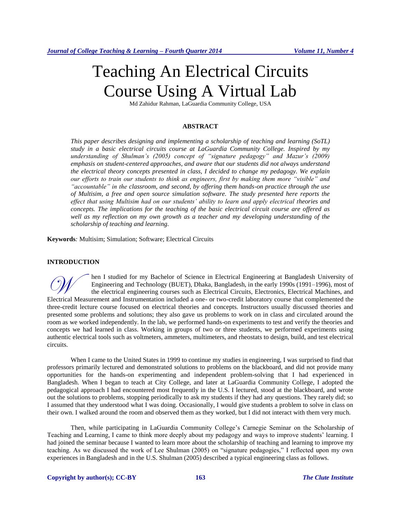# Teaching An Electrical Circuits Course Using A Virtual Lab

Md Zahidur Rahman, LaGuardia Community College, USA

# **ABSTRACT**

*This paper describes designing and implementing a scholarship of teaching and learning (SoTL) study in a basic electrical circuits course at LaGuardia Community College. Inspired by my understanding of Shulman's (2005) concept of "signature pedagogy" and Mazur's (2009) emphasis on student-centered approaches, and aware that our students did not always understand the electrical theory concepts presented in class, I decided to change my pedagogy. We explain our efforts to train our students to think as engineers, first by making them more "visible" and "accountable" in the classroom, and second, by offering them hands-on practice through the use of Multisim, a free and open source simulation software. The study presented here reports the effect that using Multisim had on our students' ability to learn and apply electrical theories and concepts. The implications for the teaching of the basic electrical circuit course are offered as well as my reflection on my own growth as a teacher and my developing understanding of the scholarship of teaching and learning.*

**Keywords***:* Multisim; Simulation; Software; Electrical Circuits

## **INTRODUCTION**

hen I studied for my Bachelor of Science in Electrical Engineering at Bangladesh University of Engineering and Technology (BUET), Dhaka, Bangladesh, in the early 1990s (1991–1996), most of the electrical engineering courses such as Electrical Circuits, Electronics, Electrical Machines, and Frameering and Technology (BUET), Dhaka, Bangladesh, in the early 1990s (1991–1996), most of the electrical engineering courses such as Electrical Circuits, Electronics, Electrical Machines, and Electrical Measurement and three-credit lecture course focused on electrical theories and concepts. Instructors usually discussed theories and presented some problems and solutions; they also gave us problems to work on in class and circulated around the room as we worked independently. In the lab, we performed hands-on experiments to test and verify the theories and concepts we had learned in class. Working in groups of two or three students, we performed experiments using authentic electrical tools such as voltmeters, ammeters, multimeters, and rheostats to design, build, and test electrical circuits.

When I came to the United States in 1999 to continue my studies in engineering, I was surprised to find that professors primarily lectured and demonstrated solutions to problems on the blackboard, and did not provide many opportunities for the hands-on experimenting and independent problem-solving that I had experienced in Bangladesh. When I began to teach at City College, and later at LaGuardia Community College, I adopted the pedagogical approach I had encountered most frequently in the U.S. I lectured, stood at the blackboard, and wrote out the solutions to problems, stopping periodically to ask my students if they had any questions. They rarely did; so I assumed that they understood what I was doing. Occasionally, I would give students a problem to solve in class on their own. I walked around the room and observed them as they worked, but I did not interact with them very much.

Then, while participating in LaGuardia Community College's Carnegie Seminar on the Scholarship of Teaching and Learning, I came to think more deeply about my pedagogy and ways to improve students' learning. I had joined the seminar because I wanted to learn more about the scholarship of teaching and learning to improve my teaching. As we discussed the work of Lee Shulman (2005) on "signature pedagogies," I reflected upon my own experiences in Bangladesh and in the U.S. Shulman (2005) described a typical engineering class as follows.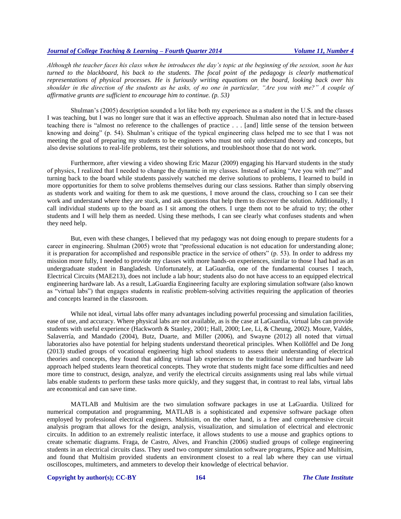*Although the teacher faces his class when he introduces the day's topic at the beginning of the session, soon he has turned to the blackboard, his back to the students. The focal point of the pedagogy is clearly mathematical representations of physical processes. He is furiously writing equations on the board, looking back over his shoulder in the direction of the students as he asks, of no one in particular, "Are you with me?" A couple of affirmative grunts are sufficient to encourage him to continue. (p. 53)*

Shulman's (2005) description sounded a lot like both my experience as a student in the U.S. and the classes I was teaching, but I was no longer sure that it was an effective approach. Shulman also noted that in lecture-based teaching there is "almost no reference to the challenges of practice . . . [and] little sense of the tension between knowing and doing" (p. 54). Shulman's critique of the typical engineering class helped me to see that I was not meeting the goal of preparing my students to be engineers who must not only understand theory and concepts, but also devise solutions to real-life problems, test their solutions, and troubleshoot those that do not work.

Furthermore, after viewing a video showing Eric Mazur (2009) engaging his Harvard students in the study of physics, I realized that I needed to change the dynamic in my classes. Instead of asking "Are you with me?" and turning back to the board while students passively watched me derive solutions to problems, I learned to build in more opportunities for them to solve problems themselves during our class sessions. Rather than simply observing as students work and waiting for them to ask me questions, I move around the class, crouching so I can see their work and understand where they are stuck, and ask questions that help them to discover the solution. Additionally, I call individual students up to the board as I sit among the others. I urge them not to be afraid to try; the other students and I will help them as needed. Using these methods, I can see clearly what confuses students and when they need help.

But, even with these changes, I believed that my pedagogy was not doing enough to prepare students for a career in engineering. Shulman (2005) wrote that "professional education is not education for understanding alone; it is preparation for accomplished and responsible practice in the service of others" (p. 53). In order to address my mission more fully, I needed to provide my classes with more hands-on experiences, similar to those I had had as an undergraduate student in Bangladesh. Unfortunately, at LaGuardia, one of the fundamental courses I teach, Electrical Circuits (MAE213), does not include a lab hour; students also do not have access to an equipped electrical engineering hardware lab. As a result, LaGuardia Engineering faculty are exploring simulation software (also known as "virtual labs") that engages students in realistic problem-solving activities requiring the application of theories and concepts learned in the classroom.

While not ideal, virtual labs offer many advantages including powerful processing and simulation facilities, ease of use, and accuracy. Where physical labs are not available, as is the case at LaGuardia, virtual labs can provide students with useful experience (Hackworth & Stanley, 2001; Hall, 2000; Lee, Li, & Cheung, 2002). Moure, Valdés, Salaverría, and Mandado (2004), Butz, Duarte, and Miller (2006), and Swayne (2012) all noted that virtual laboratories also have potential for helping students understand theoretical principles. When Kollõffel and De Jong (2013) studied groups of vocational engineering high school students to assess their understanding of electrical theories and concepts, they found that adding virtual lab experiences to the traditional lecture and hardware lab approach helped students learn theoretical concepts. They wrote that students might face some difficulties and need more time to construct, design, analyze, and verify the electrical circuits assignments using real labs while virtual labs enable students to perform these tasks more quickly, and they suggest that, in contrast to real labs, virtual labs are economical and can save time.

MATLAB and Multisim are the two simulation software packages in use at LaGuardia. Utilized for numerical computation and programming, MATLAB is a sophisticated and expensive software package often employed by professional electrical engineers. Multisim, on the other hand, is a free and comprehensive circuit analysis program that allows for the design, analysis, visualization, and simulation of electrical and electronic circuits. In addition to an extremely realistic interface, it allows students to use a mouse and graphics options to create schematic diagrams. Fraga, de Castro, Alves, and Franchin (2006) studied groups of college engineering students in an electrical circuits class. They used two computer simulation software programs, PSpice and Multisim, and found that Multisim provided students an environment closest to a real lab where they can use virtual oscilloscopes, multimeters, and ammeters to develop their knowledge of electrical behavior.

## **Copyright by author(s)[; CC-BY](http://creativecommons.org/licenses/by/3.0/) 164** *[The Clute Institute](http://www.cluteinstitute.com/)*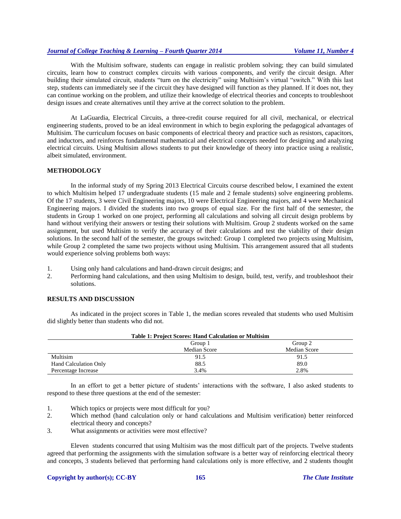With the Multisim software, students can engage in realistic problem solving; they can build simulated circuits, learn how to construct complex circuits with various components, and verify the circuit design. After building their simulated circuit, students "turn on the electricity" using Multisim's virtual "switch." With this last step, students can immediately see if the circuit they have designed will function as they planned. If it does not, they can continue working on the problem, and utilize their knowledge of electrical theories and concepts to troubleshoot design issues and create alternatives until they arrive at the correct solution to the problem.

At LaGuardia, Electrical Circuits, a three-credit course required for all civil, mechanical, or electrical engineering students, proved to be an ideal environment in which to begin exploring the pedagogical advantages of Multisim. The curriculum focuses on basic components of electrical theory and practice such as resistors, capacitors, and inductors, and reinforces fundamental mathematical and electrical concepts needed for designing and analyzing electrical circuits. Using Multisim allows students to put their knowledge of theory into practice using a realistic, albeit simulated, environment.

## **METHODOLOGY**

In the informal study of my Spring 2013 Electrical Circuits course described below, I examined the extent to which Multisim helped 17 undergraduate students (15 male and 2 female students) solve engineering problems. Of the 17 students, 3 were Civil Engineering majors, 10 were Electrical Engineering majors, and 4 were Mechanical Engineering majors. I divided the students into two groups of equal size. For the first half of the semester, the students in Group 1 worked on one project, performing all calculations and solving all circuit design problems by hand without verifying their answers or testing their solutions with Multisim. Group 2 students worked on the same assignment, but used Multisim to verify the accuracy of their calculations and test the viability of their design solutions. In the second half of the semester, the groups switched: Group 1 completed two projects using Multisim, while Group 2 completed the same two projects without using Multisim. This arrangement assured that all students would experience solving problems both ways:

- 1. Using only hand calculations and hand-drawn circuit designs; and
- 2. Performing hand calculations, and then using Multisim to design, build, test, verify, and troubleshoot their solutions.

# **RESULTS AND DISCUSSION**

As indicated in the project scores in Table 1, the median scores revealed that students who used Multisim did slightly better than students who did not.

| <b>Table 1: Project Scores: Hand Calculation or Multisim</b> |              |              |
|--------------------------------------------------------------|--------------|--------------|
|                                                              | Group 1      | Group 2      |
|                                                              | Median Score | Median Score |
| Multisim                                                     | 91.5         | 91.5         |
| <b>Hand Calculation Only</b>                                 | 88.5         | 89.0         |
| Percentage Increase                                          | 3.4%         | 2.8%         |

In an effort to get a better picture of students' interactions with the software, I also asked students to respond to these three questions at the end of the semester:

- 1. Which topics or projects were most difficult for you?
- 2. Which method (hand calculation only or hand calculations and Multisim verification) better reinforced electrical theory and concepts?
- 3. What assignments or activities were most effective?

Eleven students concurred that using Multisim was the most difficult part of the projects. Twelve students agreed that performing the assignments with the simulation software is a better way of reinforcing electrical theory and concepts, 3 students believed that performing hand calculations only is more effective, and 2 students thought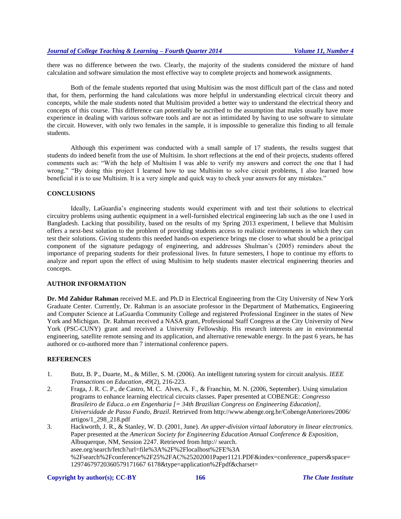there was no difference between the two. Clearly, the majority of the students considered the mixture of hand calculation and software simulation the most effective way to complete projects and homework assignments.

Both of the female students reported that using Multisim was the most difficult part of the class and noted that, for them, performing the hand calculations was more helpful in understanding electrical circuit theory and concepts, while the male students noted that Multisim provided a better way to understand the electrical theory and concepts of this course. This difference can potentially be ascribed to the assumption that males usually have more experience in dealing with various software tools and are not as intimidated by having to use software to simulate the circuit. However, with only two females in the sample, it is impossible to generalize this finding to all female students.

Although this experiment was conducted with a small sample of 17 students, the results suggest that students do indeed benefit from the use of Multisim. In short reflections at the end of their projects, students offered comments such as: "With the help of Multisim I was able to verify my answers and correct the one that I had wrong." "By doing this project I learned how to use Multisim to solve circuit problems, I also learned how beneficial it is to use Multisim. It is a very simple and quick way to check your answers for any mistakes."

## **CONCLUSIONS**

Ideally, LaGuardia's engineering students would experiment with and test their solutions to electrical circuitry problems using authentic equipment in a well-furnished electrical engineering lab such as the one I used in Bangladesh. Lacking that possibility, based on the results of my Spring 2013 experiment, I believe that Multisim offers a next-best solution to the problem of providing students access to realistic environments in which they can test their solutions. Giving students this needed hands-on experience brings me closer to what should be a principal component of the signature pedagogy of engineering, and addresses Shulman's (2005) reminders about the importance of preparing students for their professional lives. In future semesters, I hope to continue my efforts to analyze and report upon the effect of using Multisim to help students master electrical engineering theories and concepts.

#### **AUTHOR INFORMATION**

**Dr. Md Zahidur Rahman** received M.E. and Ph.D in Electrical Engineering from the City University of New York Graduate Center. Currently, Dr. Rahman is an associate professor in the Department of Mathematics, Engineering and Computer Science at LaGuardia Community College and registered Professional Engineer in the states of New York and Michigan. Dr. Rahman received a NASA grant, Professional Staff Congress at the City University of New York (PSC-CUNY) grant and received a University Fellowship. His research interests are in environmental engineering, satellite remote sensing and its application, and alternative renewable energy. In the past 6 years, he has authored or co-authored more than 7 international conference papers.

# **REFERENCES**

- 1. Butz, B. P., Duarte, M., & Miller, S. M. (2006). An intelligent tutoring system for circuit analysis. *IEEE Transactions on Education, 49*(2), 216-223.
- 2. Fraga, J. R. C. P., de Castro, M. C. Alves, A. F., & Franchin, M. N. (2006, September). Using simulation programs to enhance learning electrical circuits classes. Paper presented at COBENGE: *Congresso Brasileiro de Educa..o em Engenharia [= 34th Brazilian Congress on Engineering Education], Universidade de Passo Fundo, Brazil*. Retrieved from http://www.abenge.org.br/CobengeAnteriores/2006/ artigos/1\_298\_218.pdf
- 3. Hackworth, J. R., & Stanley, W. D. (2001, June). *An upper-division virtual laboratory in linear electronics.*  Paper presented at the *American Society for Engineering Education Annual Conference & Exposition*, Albuquerque, NM, Session 2247. Retrieved from http:// search. asee.org/search/fetch?url=file%3A%2F%2Flocalhost%2FE%3A %2Fsearch%2Fconference%2F25%2FAC%25202001Paper1121.PDF&index=conference\_papers&space= 12974679720360579171667 6178&type=application%2Fpdf&charset=

#### **Copyright by author(s)[; CC-BY](http://creativecommons.org/licenses/by/3.0/) 166** *[The Clute Institute](http://www.cluteinstitute.com/)*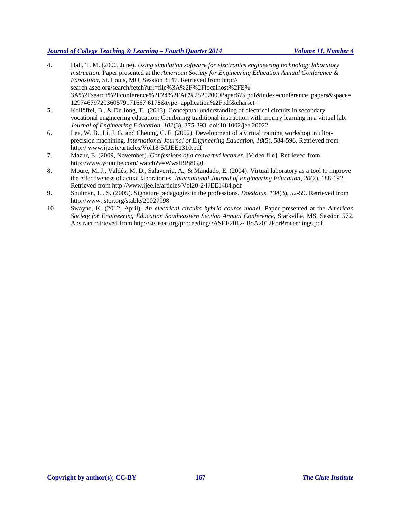- 4. Hall, T. M. (2000, June). *Using simulation software for electronics engineering technology laboratory instruction.* Paper presented at the *American Society for Engineering Education Annual Conference & Exposition,* St. Louis, MO, Session 3547. Retrieved from http:// search.asee.org/search/fetch?url=file%3A%2F%2Flocalhost%2FE% 3A%2Fsearch%2Fconference%2F24%2FAC%25202000Paper675.pdf&index=conference\_papers&space= 12974679720360579171667 6178&type=application%2Fpdf&charset=
- 5. Kollõffel, B., & De Jong, T.. (2013). Conceptual understanding of electrical circuits in secondary vocational engineering education: Combining traditional instruction with inquiry learning in a virtual lab. *Journal of Engineering Education, 102*(3), 375-393. doi:10.1002/jee.20022
- 6. Lee, W. B., Li, J. G. and Cheung, C. F. (2002). Development of a virtual training workshop in ultraprecision machining. *International Journal of Engineering Education, 18*(5), 584-596. Retrieved from http:// www.ijee.ie/articles/Vol18-5/IJEE1310.pdf
- 7. Mazur, E. (2009, November). *Confessions of a converted lecturer.* [Video file]. Retrieved from http://www.youtube.com/ watch?v=WwslBPj8GgI
- 8. Moure, M. J., Valdés, M. D., Salaverría, A., & Mandado, E. (2004). Virtual laboratory as a tool to improve the effectiveness of actual laboratories. *International Journal of Engineering Education*, *20*(2), 188-192. Retrieved from http://www.ijee.ie/articles/Vol20-2/IJEE1484.pdf
- 9. Shulman, L.. S. (2005). Signature pedagogies in the professions. *Daedalus. 134*(3), 52-59. Retrieved from http://www.jstor.org/stable/20027998
- 10. Swayne, K. (2012, April)*. An electrical circuits hybrid course model.* Paper presented at the *American Society for Engineering Education Southeastern Section Annual Conference*, Starkville, MS, Session 572. Abstract retrieved from http://se.asee.org/proceedings/ASEE2012/ BoA2012ForProceedings.pdf